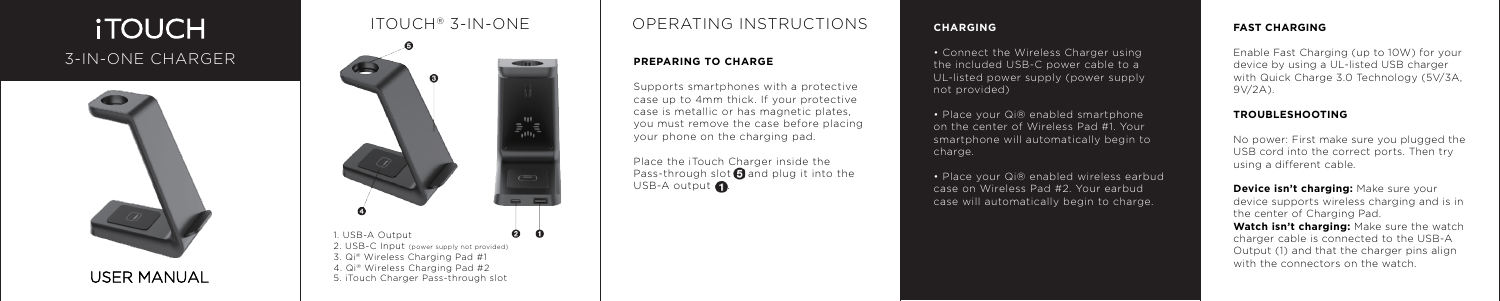## **iTOUCH** 3-IN-ONE CHARGER





## OPERATING INSTRUCTIONS

Place the iTouch Charger inside the Pass-through slot  $\bigcirc$  and plug it into the USB-A output  $\bigcap$ .

#### **PREPARING TO CHARGE**

• Connect the Wireless Charger using the included USB-C power cable to a UL-listed power supply (power supply not provided)

Supports smartphones with a protective case up to 4mm thick. If your protective case is metallic or has magnetic plates, you must remove the case before placing your phone on the charging pad.

• Place your Qi® enabled smartphone on the center of Wireless Pad #1. Your smartphone will automatically begin to charge.

• Place your Qi® enabled wireless earbud case on Wireless Pad #2. Your earbud case will automatically begin to charge.

## USER MANUAL

## $ITOUCH<sup>®</sup>$  3-IN-ONE

#### **CHARGING**

**Device isn't charging: Make sure your** device supports wireless charging and is in the center of Charging Pad.

#### **FAST CHARGING**

Enable Fast Charging (up to 10W) for your device by using a UL-listed USB charger with Quick Charge 3.0 Technology (5V/3A, 9V/2A).

#### **TROUBLESHOOTING**

No power: First make sure you plugged the USB cord into the correct ports. Then try using a different cable.

**Watch isn't charging:** Make sure the watch charger cable is connected to the USB-A Output (1) and that the charger pins align with the connectors on the watch.